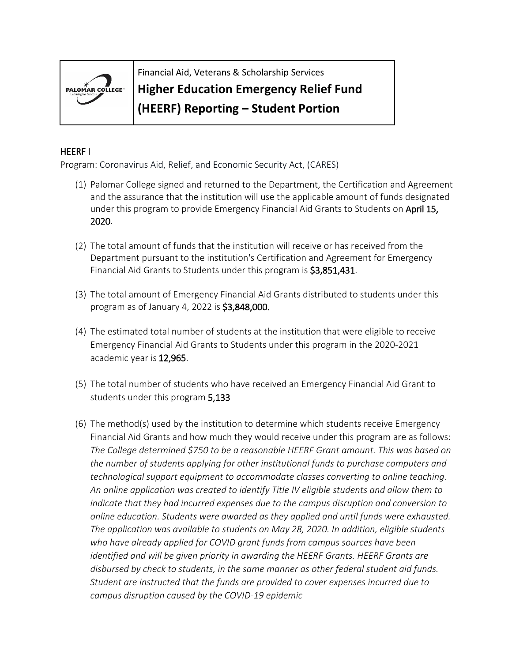

Financial Aid, Veterans & Scholarship Services

## **Higher Education Emergency Relief Fund**

**(HEERF) Reporting – Student Portion**

## HEERF I

Program: Coronavirus Aid, Relief, and Economic Security Act, (CARES)

- (1) Palomar College signed and returned to the Department, the Certification and Agreement and the assurance that the institution will use the applicable amount of funds designated under this program to provide Emergency Financial Aid Grants to Students on April 15, 2020.
- (2) The total amount of funds that the institution will receive or has received from the Department pursuant to the institution's Certification and Agreement for Emergency Financial Aid Grants to Students under this program is \$3,851,431.
- (3) The total amount of Emergency Financial Aid Grants distributed to students under this program as of January 4, 2022 is \$3,848,000.
- (4) The estimated total number of students at the institution that were eligible to receive Emergency Financial Aid Grants to Students under this program in the 2020-2021 academic year is 12,965.
- (5) The total number of students who have received an Emergency Financial Aid Grant to students under this program 5,133
- (6) The method(s) used by the institution to determine which students receive Emergency Financial Aid Grants and how much they would receive under this program are as follows: *The College determined \$750 to be a reasonable HEERF Grant amount. This was based on the number of students applying for other institutional funds to purchase computers and technological support equipment to accommodate classes converting to online teaching. An online application was created to identify Title IV eligible students and allow them to indicate that they had incurred expenses due to the campus disruption and conversion to online education. Students were awarded as they applied and until funds were exhausted. The application was available to students on May 28, 2020. In addition, eligible students who have already applied for COVID grant funds from campus sources have been identified and will be given priority in awarding the HEERF Grants. HEERF Grants are disbursed by check to students, in the same manner as other federal student aid funds. Student are instructed that the funds are provided to cover expenses incurred due to campus disruption caused by the COVID-19 epidemic*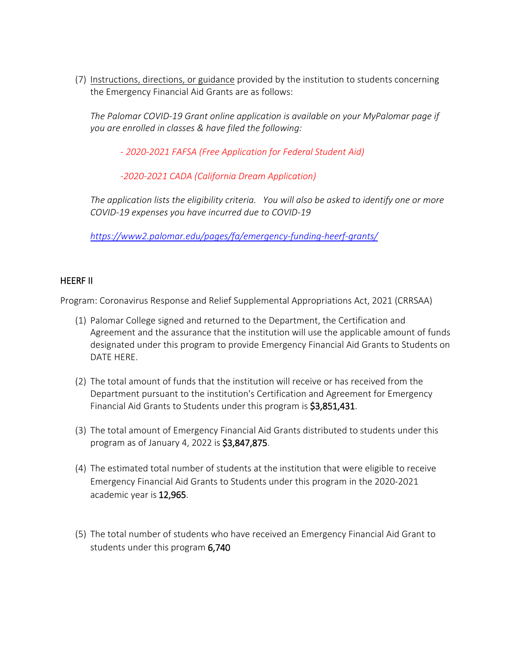(7) [Instructions, directions, or](https://www2.palomar.edu/pages/fa/emergency-funding-heerf-grants/) guidance provided by the institution to students concerning the Emergency Financial Aid Grants are as follows:

*The Palomar COVID-19 Grant online application is available on your MyPalomar page if you are enrolled in classes & have filed the following:*

*- [2020-2021 FAFSA \(Free Application for Federal Student Aid\)](https://studentaid.gov/h/apply-for-aid/fafsa)*

*[-2020-2021 CADA \(California Dream Application\)](https://dream.csac.ca.gov/)*

*The application lists the eligibility criteria. You will also be asked to identify one or more COVID-19 expenses you have incurred due to COVID-19*

*<https://www2.palomar.edu/pages/fa/emergency-funding-heerf-grants/>*

## HEERF II

Program: Coronavirus Response and Relief Supplemental Appropriations Act, 2021 (CRRSAA)

- (1) Palomar College signed and returned to the Department, the Certification and Agreement and the assurance that the institution will use the applicable amount of funds designated under this program to provide Emergency Financial Aid Grants to Students on DATE HERE.
- (2) The total amount of funds that the institution will receive or has received from the Department pursuant to the institution's Certification and Agreement for Emergency Financial Aid Grants to Students under this program is \$3,851,431.
- (3) The total amount of Emergency Financial Aid Grants distributed to students under this program as of January 4, 2022 is \$3,847,875.
- (4) The estimated total number of students at the institution that were eligible to receive Emergency Financial Aid Grants to Students under this program in the 2020-2021 academic year is 12,965.
- (5) The total number of students who have received an Emergency Financial Aid Grant to students under this program 6,740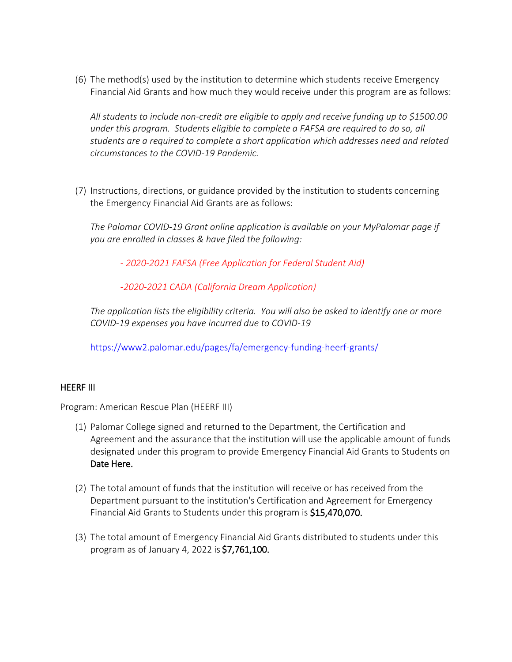(6) The method(s) used by the institution to determine which students receive Emergency Financial Aid Grants and how much they would receive under this program are as follows:

*All students to include non-credit are eligible to apply and receive funding up to \$1500.00 under this program. Students eligible to complete a FAFSA are required to do so, all students are a required to complete a short application which addresses need and related circumstances to the COVID-19 Pandemic.*

(7) Instructions, directions, or guidance provided by the institution to students concerning the Emergency Financial Aid Grants are as follows:

*The Palomar COVID-19 Grant online application is available on your MyPalomar page if you are enrolled in classes & have filed the following:*

*- [2020-2021 FAFSA \(Free Application for Federal Student Aid\)](https://studentaid.gov/h/apply-for-aid/fafsa)*

*[-2020-2021 CADA \(California Dream Application\)](https://dream.csac.ca.gov/)*

*The application lists the eligibility criteria. You will also be asked to identify one or more COVID-19 expenses you have incurred due to COVID-19*

<https://www2.palomar.edu/pages/fa/emergency-funding-heerf-grants/>

## HEERF III

Program: American Rescue Plan (HEERF III)

- (1) Palomar College signed and returned to the Department, the Certification and Agreement and the assurance that the institution will use the applicable amount of funds designated under this program to provide Emergency Financial Aid Grants to Students on Date Here.
- (2) The total amount of funds that the institution will receive or has received from the Department pursuant to the institution's Certification and Agreement for Emergency Financial Aid Grants to Students under this program is \$15,470,070.
- (3) The total amount of Emergency Financial Aid Grants distributed to students under this program as of January 4, 2022 is \$7,761,100.